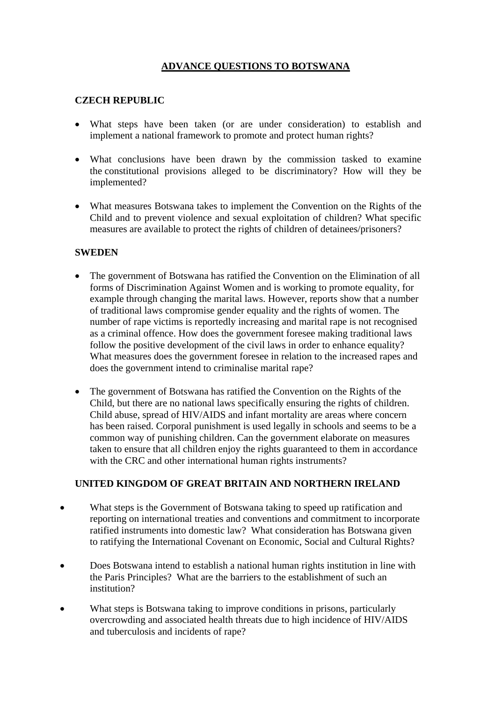## **ADVANCE QUESTIONS TO BOTSWANA**

## **CZECH REPUBLIC**

- What steps have been taken (or are under consideration) to establish and implement a national framework to promote and protect human rights?
- What conclusions have been drawn by the commission tasked to examine the constitutional provisions alleged to be discriminatory? How will they be implemented?
- What measures Botswana takes to implement the Convention on the Rights of the Child and to prevent violence and sexual exploitation of children? What specific measures are available to protect the rights of children of detainees/prisoners?

## **SWEDEN**

- The government of Botswana has ratified the Convention on the Elimination of all forms of Discrimination Against Women and is working to promote equality, for example through changing the marital laws. However, reports show that a number of traditional laws compromise gender equality and the rights of women. The number of rape victims is reportedly increasing and marital rape is not recognised as a criminal offence. How does the government foresee making traditional laws follow the positive development of the civil laws in order to enhance equality? What measures does the government foresee in relation to the increased rapes and does the government intend to criminalise marital rape?
- The government of Botswana has ratified the Convention on the Rights of the Child, but there are no national laws specifically ensuring the rights of children. Child abuse, spread of HIV/AIDS and infant mortality are areas where concern has been raised. Corporal punishment is used legally in schools and seems to be a common way of punishing children. Can the government elaborate on measures taken to ensure that all children enjoy the rights guaranteed to them in accordance with the CRC and other international human rights instruments?

## **UNITED KINGDOM OF GREAT BRITAIN AND NORTHERN IRELAND**

- What steps is the Government of Botswana taking to speed up ratification and reporting on international treaties and conventions and commitment to incorporate ratified instruments into domestic law? What consideration has Botswana given to ratifying the International Covenant on Economic, Social and Cultural Rights?
- Does Botswana intend to establish a national human rights institution in line with the Paris Principles? What are the barriers to the establishment of such an institution?
- What steps is Botswana taking to improve conditions in prisons, particularly overcrowding and associated health threats due to high incidence of HIV/AIDS and tuberculosis and incidents of rape?